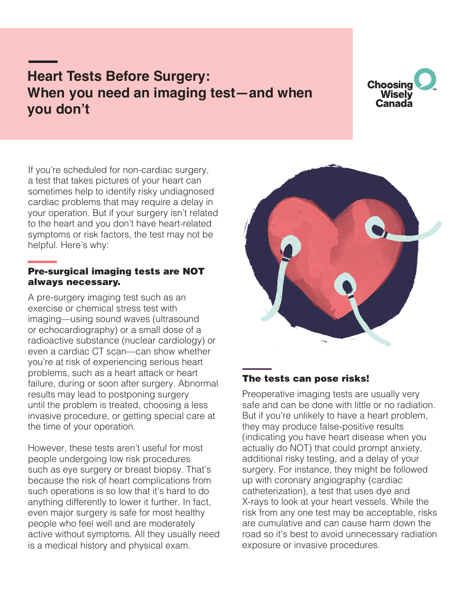# **Heart Tests Before Surgery: When you need an imaging test—and when you don't**



If you're scheduled for non-cardiac surgery, a test that takes pictures of your heart can sometimes help to identify risky undiagnosed cardiac problems that may require a delay in your operation. But if your surgery isn't related to the heart and you don't have heart-related symptoms or risk factors, the test may not be helpful. Here's why:

## Pre-surgical imaging tests are NOT always necessary.

A pre-surgery imaging test such as an exercise or chemical stress test with imaging—using sound waves (ultrasound or echocardiography) or a small dose of a radioactive substance (nuclear cardiology) or even a cardiac CT scan—can show whether you're at risk of experiencing serious heart problems, such as a heart attack or heart failure, during or soon after surgery. Abnormal results may lead to postponing surgery until the problem is treated, choosing a less invasive procedure, or getting special care at the time of your operation.

However, these tests aren't useful for most people undergoing low risk procedures such as eye surgery or breast biopsy. That's because the risk of heart complications from such operations is so low that it's hard to do anything differently to lower it further. In fact, even major surgery is safe for most healthy people who feel well and are moderately active without symptoms. All they usually need is a medical history and physical exam.



## The tests can pose risks!

Preoperative imaging tests are usually very safe and can be done with little or no radiation. But if you're unlikely to have a heart problem, they may produce false-positive results (indicating you have heart disease when you actually do NOT) that could prompt anxiety, additional risky testing, and a delay of your surgery. For instance, they might be followed up with coronary angiography (cardiac catheterization), a test that uses dye and X-rays to look at your heart vessels. While the risk from any one test may be acceptable, risks are cumulative and can cause harm down the road so it's best to avoid unnecessary radiation exposure or invasive procedures.